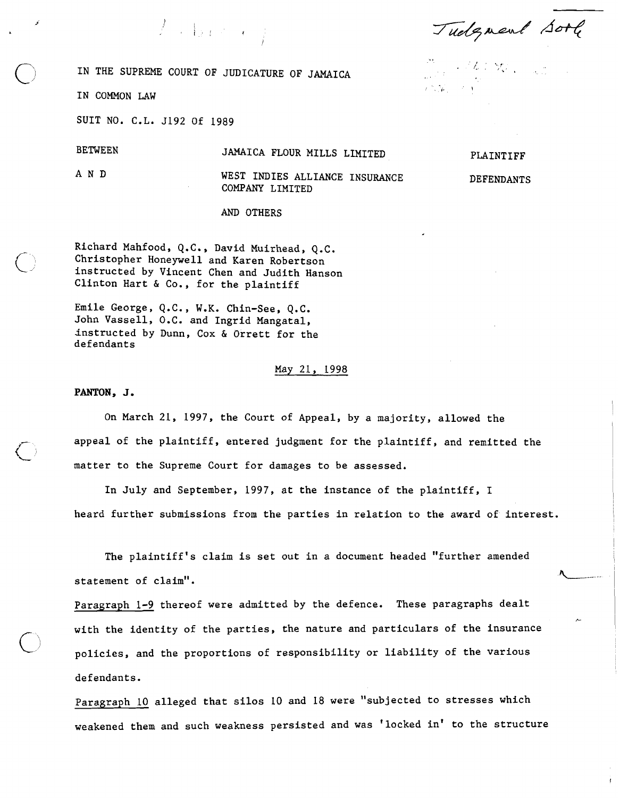Tudgment Sort

IN THE SUPREME COURT OF JUDICATURE OF JAMAICA

 $T_{\rm c}$  , the contract  $\ell$ 

IN COMMON LAW

SUIT NO. C.L. 5192 Of 1989

## BETWEEN JAMAICA FLOUR MILLS LIMITED

A N D WEST INDIES ALLIANCE INSURANCE COMPANY LIMITED

AND OTHERS

Richard Mahfood, Q.C., David Muirhead, Q.C. Christopher Honeywell and Karen Robertson instructed by Vincent Chen and Judith Hanson Clinton Hart & Co., for the plaintiff

Emile George, Q.C., W.K. Chin-See, Q.C. John Vassell, O.C. and Ingrid Mangatal, instructed by Dunn, Cox & Orrett for the defendants

### May 21, 1998

#### **PANTON, J.**

On March 21, 1997, the Court of Appeal, by a majority, allowed the appeal of the plaintiff, entered judgment for the plaintiff, and remitted the matter to the Supreme Court for damages to be assessed.

In July and September, 1997, at the instance of the plaintiff, I heard further submissions from the parties in relation to the award of interest.

The plaintiff's claim is set out in a document headed "further amended The plaintiff's claim is set out in a document headed "further amended<br>statement of claim".

Paragraph 1-9 thereof were admitted by the defence. These paragraphs dealt with the identity of the parties, the nature and particulars of the insurance policies, and the proportions of responsibility or liability of the various defendants.

Paragraph 10 alleged that silos 10 and 18 were "subjected to stresses which weakened them and such weakness persisted and was 'locked in' to the structure

PLAINTIFF

 $1 - 1$ 

DEFENDANTS

**b-**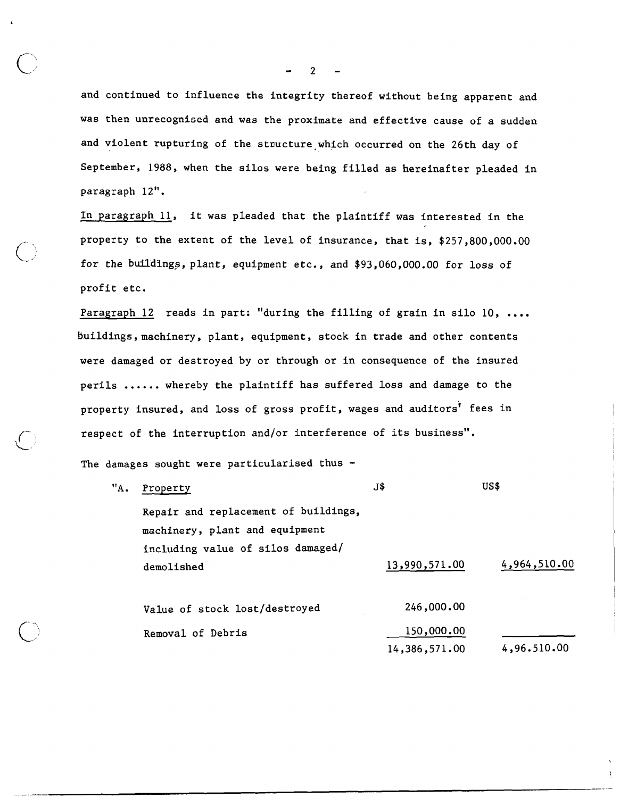and continued to influence the integrity thereof without being apparent and was then unrecognised and was the proximate and effective cause of a sudden and violent rupturing of the structure which occurred on the 26th day of September, 1988, when the silos were being filled as hereinafter pleaded in paragraph 12".

In paragraph 11, it was pleaded that the plaintiff was interested in the property to the extent of the level of insurance, that is, \$257,800,000.00 for the buil'dings,plant, equipment etc., and \$93,060,000.00 for loss of profit etc.

Paragraph 12 reads in part: "during the filling of grain in silo 10, .... buildings, machinery, plant, equipment, stock in trade and other contents were damaged or destroyed by or through or in consequence of the insured perils ...... whereby the plaintiff has suffered loss and damage to the property insured, and loss of gross profit, wages and auditors' fees in respect of the interruption and/or interference of its business".

The damages sought were particularised thus  $-$ 

 $\bigcirc$ 

| "A. | Property                             | J\$           | US\$         |
|-----|--------------------------------------|---------------|--------------|
|     | Repair and replacement of buildings, |               |              |
|     | machinery, plant and equipment       |               |              |
|     | including value of silos damaged/    |               |              |
|     | demolished                           | 13,990,571.00 | 4,964,510.00 |
|     | Value of stock lost/destroyed        | 246,000.00    |              |
|     | Removal of Debris                    | 150,000.00    |              |
|     |                                      | 14,386,571.00 | 4,96.510.00  |
|     |                                      |               |              |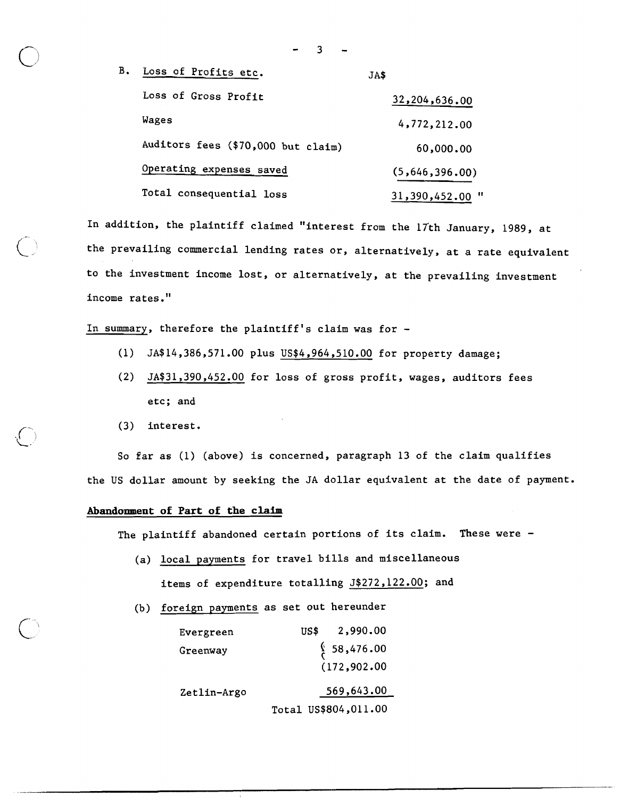| В. | Loss of Profits etc.               | JA\$            |
|----|------------------------------------|-----------------|
|    | Loss of Gross Profit               | 32,204,636.00   |
|    | Wages                              | 4,772,212.00    |
|    | Auditors fees (\$70,000 but claim) | 60,000.00       |
|    | Operating expenses saved           | (5,646,396.00)  |
|    | Total consequential loss           | 31,390,452.00 ' |

3

In addition, the plaintiff claimed "interest from the 17th January, 1989, at the prevailing commercial lending rates or, alternatively, at a rate equivalent to the investment income lost, or alternatively, at the prevailing investment income rates."

In summary, therefore the plaintiff's claim was for -

- (1) JA\$14,386,571 .OO plus US\$4,964,510.00 for property damage;
- (2) JA\$31,390,452.00 for loss of gross profit, wages, auditors fees etc; and
- (3) interest.

So far as (1) (above) is concerned, paragraph 13 of the claim qualifies the US dollar amount by seeking the JA dollar equivalent at the date of payment.

## **Abandonment of Part of the claim**

The plaintiff abandoned certain portions of its claim. These were  $-$ 

- (a) local payments for travel bills and miscellaneous items of expenditure totalling J\$272,122.00; and
- (b) foreign payments as set out hereunder

| Evergreen   | 2,990.00<br>US\$ -      |
|-------------|-------------------------|
| Greenway    | $\frac{6}{5}$ 58,476.00 |
|             | (172, 902.00)           |
| Zetlin-Argo | 569,643.00              |
|             | Total US\$804,011.00    |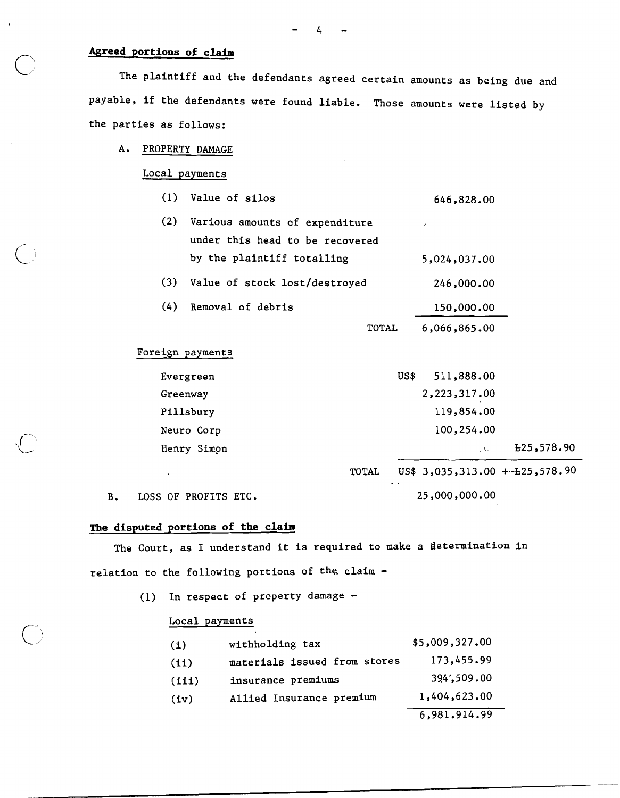## **Agreed portions of claim**

The plaintiff and the defendants agreed certain amounts as being due and payable, if the defendants were found liable. Those amounts were listed by the parties as follows:

#### A. PROPERTY DAMAGE

Local payments

(1) Value of silos 646,828.00

| (2) Various amounts of expenditure | ٠            |
|------------------------------------|--------------|
| under this head to be recovered    |              |
| by the plaintiff totalling         | 5,024,037.00 |
| (3) Value of stock lost/destroyed  | 246,000.00   |

- (4) Removal of debris
	- TOTAL 6,066,865 -00

150,000.00

TOTAL US\$ 3,035,313 .OO +.-b25,578.90

## Foreign payments

| Henry Simon | $\mathcal{N}$      | E25,578.90 |
|-------------|--------------------|------------|
| Neuro Corp  | 100,254.00         |            |
| Pillsbury   | 119,854.00         |            |
| Greenway    | 2,223,317.00       |            |
| Evergreen   | 511,888.00<br>US\$ |            |

B. LOSS OF PROFITS ETC. 25,000,000.00

# **The disputed portions of the claim**

The Court, as I understand it is required to make a determination in relation to the following portions of the claim -

(1) In respect of property damage -

### Local payments

| (1)      | withholding tax              | \$5,009,327,00 |
|----------|------------------------------|----------------|
| (11)     | materials issued from stores | 173,455.99     |
| $(i$ ii) | insurance premiums           | 394,509.00     |
| (iv)     | Allied Insurance premium     | 1,404,623.00   |
|          |                              | 6,981.914.99   |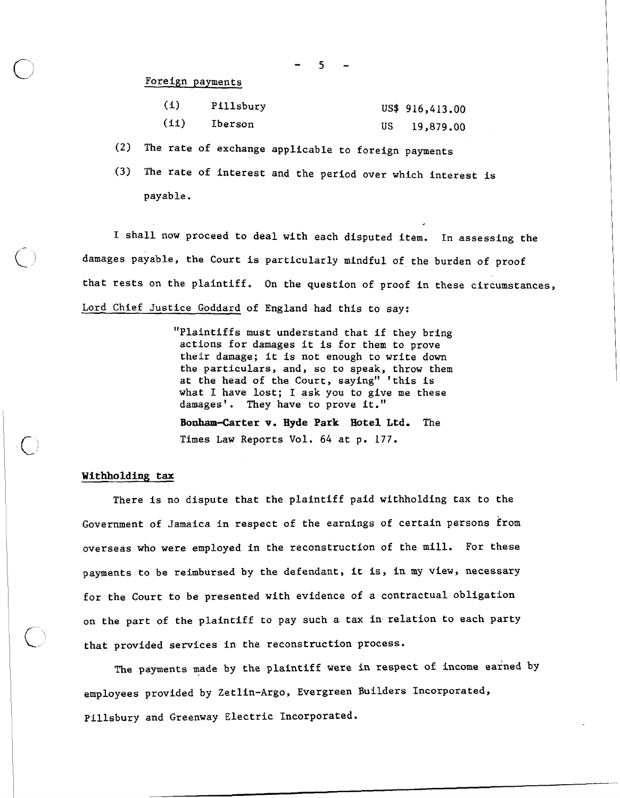Foreign payments

| (1)  | Pillsbury | US\$ 916,413.00 |
|------|-----------|-----------------|
| (11) | Iberson   | 19,879.00       |

**(2)** The rate of exchange applicable to foreign payments

**(3)** The rate of interest and the period over which interest is payable.

I shall now proceed to deal with each disputed item. In assessing the damages payable, the Court is particularly mindful of the burden of proof that rests on the plaintiff. On the question of proof in these circumstances, Lord Chief Justice Goddard of England had this to say:

> "Plaintiffs must understand that if they bring actions for damages it is for them to prove their damage; it is not enough to write down the particulars, and, so to speak, throw them at the head of the Court, saying" 'this is what I have lost; I ask you to give me these damages'. They have to prove it." **Bonham-Carter v. Hyde Park Hotel Ltd.** The Times Law Reports Vol. 64 at p. 177.

#### <sup>I</sup>**withholding tax**

There is no dispute that the plaintiff paid withholding tax to the Government of Jamaica in respect of the earnings of certain persons from overseas who were employed in the reconstruction of the mill. For these payments to be reimbursed by the defendant, it is, in my view, necessary for the Court to be presented with evidence of a contractual obligation on the part of the plaintiff to pay such a tax **in.** relation to each party that provided services in the reconstruction process.

The payments made by the plaintiff were in respect of income earned by employees provided by Zetlin-Argo, Evergreen Builders Incorporated, Pillsbury and Greenway Electric Incorporated.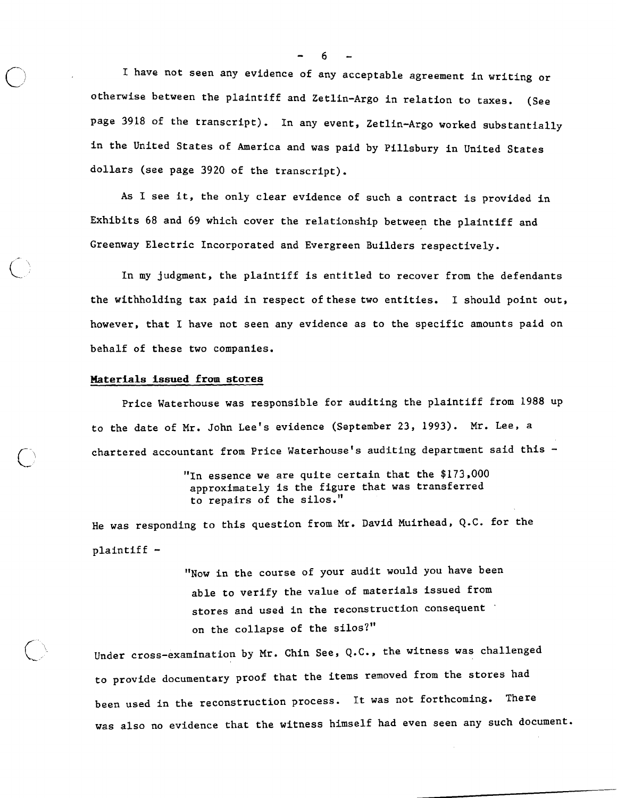I have not seen any evidence of any acceptable agreement in writing or otherwise between the plaintiff and Zetlin-Argo in relation to taxes. (See page 3918 of the transcript). In any event, Zetlin-Argo worked substantially in the United States of America and was paid by Pillsbury in United States dollars (see page 3920 of the transcript).

As I see it, the only clear evidence of such a contract is provided in Exhibits 68 and 69 which cover the relationship between the plaintiff and Greenway Electric Incorporated and Evergreen Builders respectively.

In my judgment, the plaintiff is entitled to recover from the defendants the withholding tax paid in respect of these two entities. I should point out, however, that I have not seen any evidence as to the specific amounts paid on behalf of these two companies.

### **Materials issued from stores**

Price Waterhouse was responsible for auditing the plaintiff from 1988 up to the date of Mr. John Lee's evidence (September 23, 1993). Mr. Lee, a chartered accountant from Price Waterhouse's auditing department said this -

> "In essence we are quite certain that the \$173,000 approximately is the figure that was transferred to repairs of the silos."

He was responding to this question from Mr. David Muirhead, Q.C. for the plaintiff -

> "Now in the course of your audit would you have been able to verify the value of materials issued from stores and used in the reconstruction consequent ' on the collapse of the silos?"

Under cross-examination by Mr. Chin See, Q.C., the witness was challenged to provide documentary proof that the items removed from the stores had been used in the reconstruction process. It was not forthcoming. There was also no evidence that the witness himself had even seen any such document.

*-6-*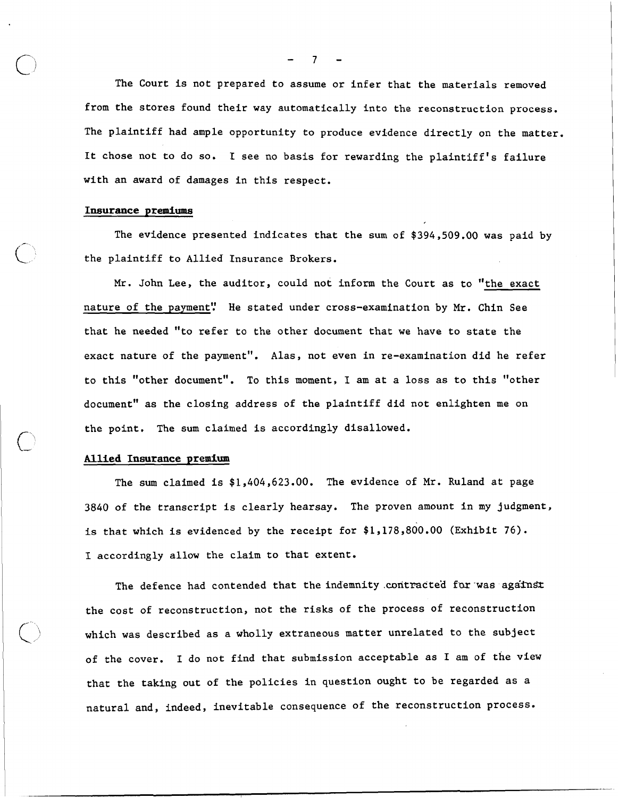The Court is not prepared to assume or infer that the materials removed from the stores found their way automatically into the reconstruction process. The plaintiff had ample opportunity to produce evidence directly on the matter. It chose not to do so. I see no basis for rewarding the plaintiff's failure with an award of damages in this respect.

#### **Insurance premiums**

 $\curvearrowleft$ 

**Ld** 

The evidence presented indicates that the sum of \$394,509.00 was paid by **<sup>F</sup>** the plaintiff to Allied Insurance Brokers.

Mr. John Lee, the auditor, could not inform the Court as to "the exact nature of the payment'! He stated under cross-examination by Mr. Chin See that he needed "to refer to the other document that we have to state the exact nature of the payment". Alas, not even in re-examination did he refer to this "other document". To this moment, I am at a loss as to this "other document" as the closing address of the plaintiff did not enlighten me on the point. The sum claimed is accordingly disallowed.

#### **Allied Insurance premium**

The sum claimed is \$1,404,623.00. The evidence of Mr. Ruland at page 3840 of the transcript is clearly hearsay. The proven amount in my judgment, is that which is evidenced by the receipt for \$1,178,800.00 (Exhibit 76). I accordingly allow the claim to that extent.

The defence had contended that the indemnity contracted for was against the cost of reconstruction, not the risks of the process of reconstruction which was described as a wholly extraneous matter unrelated to the subject of the cover. I do not find that submission acceptable as I am of the view that the taking out of the policies in question ought to be regarded as a natural and, indeed, inevitable consequence of the reconstruction process.

-7-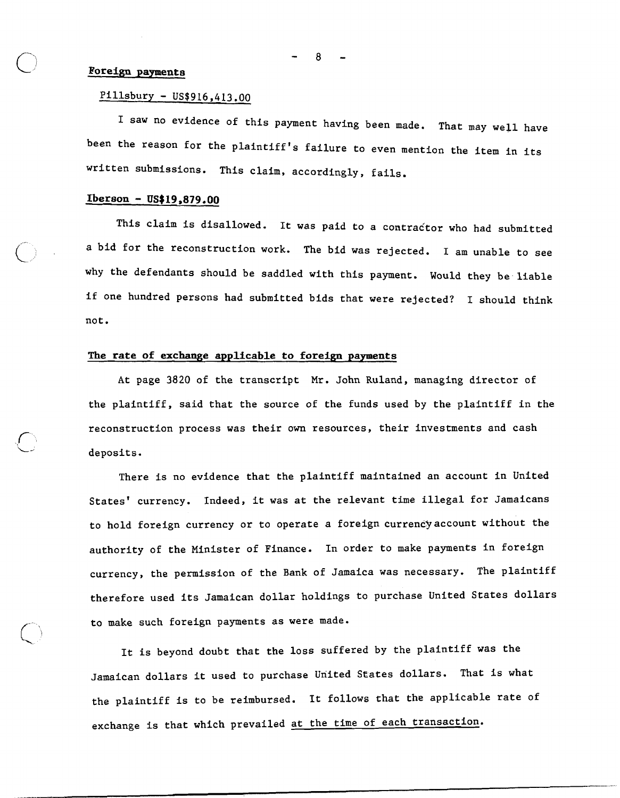#### L' **Foreign payments**

## $P111$ sbury - US\$916,413.00

I saw no evidence of this payment having been made. That may well have been the reason for the plaintiff's failure to even mention the item in its written submissions. This claim, accordingly, fails.

## **Iberson** - **US\$19,879.00**

 $\bigcap$ 

 $\circ$   $\circ$ 

'"\

This claim is disallowed. It was paid to a contractor who had submitted a bid for the reconstruction work. The bid was rejected. I am unable to see why the defendants should be saddled with this payment. Would they be liable if one hundred persons had submitted bids that were rejected? I should think not.

### **The rate of exchange applicable to foreign payments**

At page 3820 of the transcript Mr. John Ruland, managing director of the plaintiff, said that the source of the funds used by the plaintiff in the reconstruction process was their own resources, their investments and cash deposits.

There is no evidence that the plaintiff maintained an account in United States' currency. Indeed, it was at the relevant time illegal for Jamaicans to hold foreign currency or to operate a foreign currency account without the authority of the Minister of Finance. In order to make payments in foreign currency, the permission of the Bank of Jamaica was necessary. The plaintiff therefore used its Jamaican dollar holdings to purchase United States dollars to make such foreign payments as were made.

It is beyond doubt that the loss suffered by the plaintiff was the Jamaican dollars it used to purchase United States dollars. That is what the plaintiff is to be reimbursed. It follows that the applicable rate of exchange is that which prevailed at the time of each transaction.

8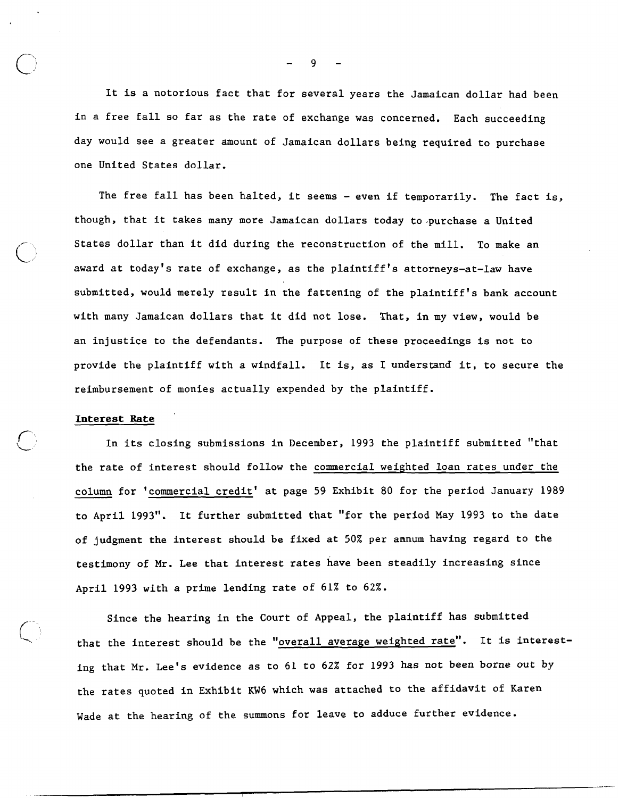It is a notorious fact that for several years the Jamaican dollar had been in a free fall so far as the rate of exchange was concerned. Each succeeding day would see a greater amount of Jamaican dollars being required to purchase one United States dollar.

The free fall has been halted, it seems - even if temporarily. The fact is, though, that it takes many more Jamaican dollars today to purchase a United States dollar than it did during the reconstruction of the mill. To make an award at today's rate of exchange, as the plaintiff's attorneys-at-law have submitted, would merely result in the fattening of the plaintiff's bank account with many Jamaican dollars that it did not lose. That, in my view, would be an injustice to the defendants. The purpose of these proceedings is not to provide the plaintiff with a windfall. It is, as I understand it, to secure the reimbursement of monies actually expended by the plaintiff.

#### Interest Rate

 $\bigcap$ 

In its closing submissions in December, 1993 the plaintiff submitted "that the rate of interest should follow the commercial weighted loan rates under the column for 'commercial credit' at page 59 Exhibit 80 for the period January 1989 to April 1993". It further submitted that "for the period May 1993 to the date of judgment the interest should be fixed at 50% per annum having regard to the testimony of Mr. Lee that interest rates have been steadily increasing since April 1993 with a prime lending rate of 61% to 62%.

Since the hearing in the Court of Appeal, the plaintiff has submitted that the interest should be the "overall average weighted rate". It is interesting that Mr. Lee's evidence as to 61 to 62% for 1993 has not been borne out by the rates quoted in Exhibit KW6 which was attached to the affidavit of Karen Wade at the hearing of the summons for leave to adduce further evidence.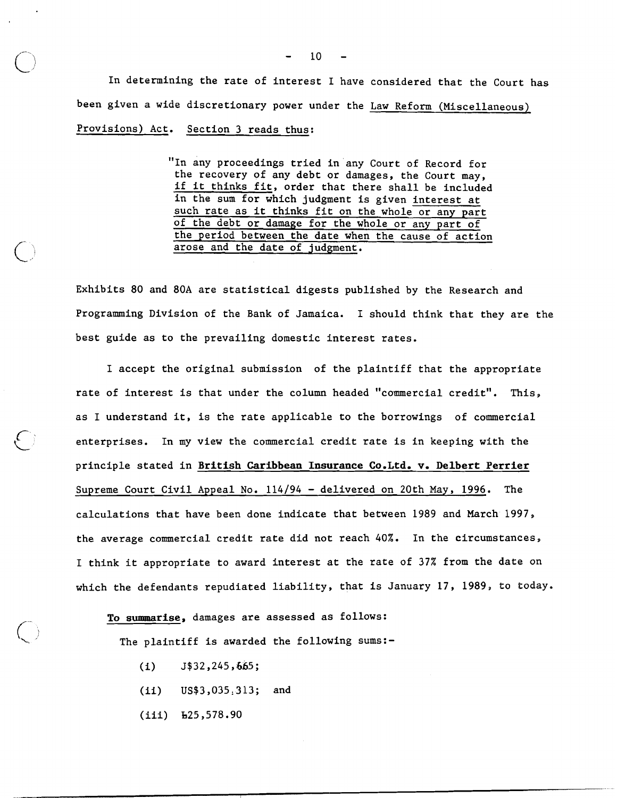In determining the rate of interest I have considered that the Court has been given a wide discretionary power under the Law Reform (Miscellaneous) Provisions) Act. Section 3 reads thus:

> "In any proceedings tried in any Court of Record for the recovery of any debt or damages, the Court may, if it thinks fit, order that there shall be included in the sum for which judgment is given interest at such rate as it thinks fit on the whole or any part of the debt or damage for the whole or any part of the period between the date when the cause of action arose and the date of judgment.

Exhibits 80 and 80A are statistical digests published by the Research and Programming Division of the Bank of Jamaica. I should think that they are the best guide as to the prevailing domestic interest rates.

I accept the original submission of the plaintiff that the appropriate rate of interest is that under the column headed "commercial credit". This, as I understand it, is the rate applicable to the borrowings of commercial enterprises. In my view the commercial credit rate is in keeping with the principle stated in **British Caribbean Insurance Co.Ltd. v, Delbert Perrier**  Supreme Court Civil Appeal No. 114/94 - delivered on 20th May, 1996. The calculations that have been done indicate that between 1989 and March 1997, the average commercial credit rate did not reach 40%. In the circumstances, I think it appropriate to award interest at the rate of 37% from the date on which the defendants repudiated liability, that is January 17, 1989, to today.

## **To summarise,** damages are assessed as follows:

The plaintiff is awarded the following sums:-

- $(i)$   $J$32,245,665;$
- (ii) US\$3,035,313; and
- (iii) h25,578.90

 $10<sup>°</sup>$